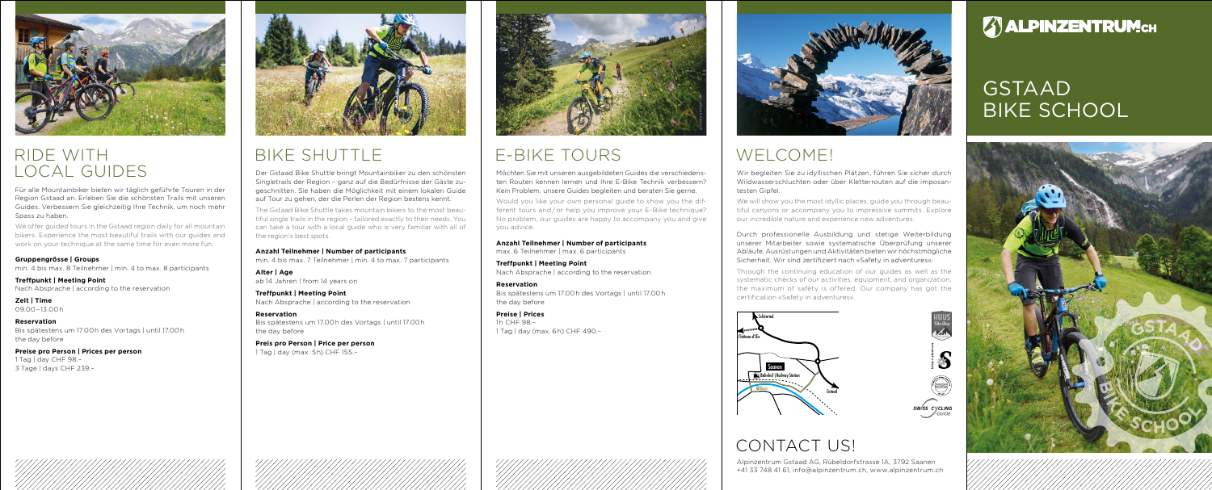

### Ride with Local Guides

Für alle Mountainbiker bieten wir täglich geführte Touren in der Region Gstaad an. Erleben Sie die schönsten Trails mit unseren Guides. Verbessern Sie gleichzeitig Ihre Technik, um noch mehr Spass zu haben.

We offer guided tours in the Gstaad region daily for all mountain bikers. Experience the most beautiful trails with our guides and work on your technique at the same time for even more fun.

**Gruppengrösse | Groups** min. 4 bis max. 8 Teilnehmer | min. 4 to max. 8 participants

**Treffpunkt | Meeting Point** Nach Absprache | according to the reservation

**Zeit | Time**  09.00–13.00h

**Reservation** Bis spätestens um 17.00h des Vortags | until 17.00h the day before

**Preise pro Person | Prices per person** 1 Tag | day CHF 98. 3 Tage | days CHF 239.–

# BIKE SHUTTLE

Der Gstaad Bike Shuttle bringt Mountainbiker zu den schönsten Singletrails der Region – ganz auf die Bedürfnisse der Gäste zugeschnitten. Sie haben die Möglichkeit mit einem lokalen Guide auf Tour zu gehen, der die Perlen der Region bestens kennt.

> **Anzahl Teilnehmer | Number of participants** max. 6 Teilnehmer | max. 6 participants

The Gstaad Bike Shuttle takes mountain bikers to the most beautiful single trails in the region – tailored exactly to their needs. You can take a tour with a local guide who is very familiar with all of the region's best spots.

**Anzahl Teilnehmer | Number of participants**

min. 4 bis max. 7 Teilnehmer | min. 4 to max. 7 participants

**Alter | Age** ab 14 Jahren | from 14 years on We will show you the most idyllic places, guide you through beautiful canyons or accompany you to impressive summits. Explore our incredible nature and experience new adventures.

**Treffpunkt | Meeting Point** Nach Absprache | according to the reservation

**Reservation** Bis spätestens um 17.00h des Vortags | until 17.00h the day before

**Preis pro Person | Price per person** 1 Tag | day (max. 5h) CHF 155.–

Möchten Sie mit unseren ausgebildeten Guides die verschiedensten Routen kennen lernen und Ihre E-Bike Technik verbessern? Kein Problem, unsere Guides begleiten und beraten Sie gerne.

Would you like your own personal guide to show you the different tours and/or help you improve your E-Bike technique? No problem, our guides are happy to accompany you and give you advice.

**Treffpunkt | Meeting Point** Nach Absprache | according to the reservation

**Reservation** Bis spätestens um 17.00h des Vortags | until 17.00h the day before

**Preise | Prices** 1h CHF 98.– 1 Tag | day (max. 6h) CHF 490.–





# WELCOME!

# E-Bike Tours

Alpinzentrum Gstaad AG, Rübeldorfstrasse 1A, 3792 Saanen +41 33 748 41 61, info@alpinzentrum.ch, www.alpinzentrum.ch

# **B**<br>ALPINZENTRUMCH

# **GSTAAD BIKE SCHOOL**



Wir begleiten Sie zu idyllischen Plätzen, führen Sie sicher durch Wildwasserschluchten oder über Kletterrouten auf die imposantesten Gipfel.

Durch professionelle Ausbildung und stetige Weiterbildung unserer Mitarbeiter sowie systematische Überprüfung unserer Abläufe, Ausrüstungen und Aktivitäten bieten wir höchstmögliche Sicherheit. Wir sind zertifiziert nach «Safety in adventures».

Through the continuing education of our guides as well as the systematic checks of our activities, equipment, and organization, the maximum of safety is offered. Our company has got the certification «Safety in adventures».











# CONTACT US!